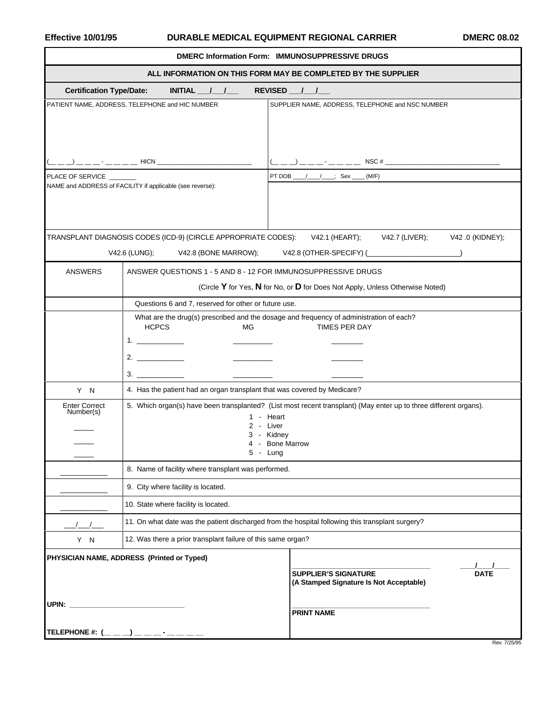## Effective 10/01/95 **DURABLE MEDICAL EQUIPMENT REGIONAL CARRIER** DMERC 08.02

| DMERC Information Form: IMMUNOSUPPRESSIVE DRUGS<br>ALL INFORMATION ON THIS FORM MAY BE COMPLETED BY THE SUPPLIER |                                                                          |                                                                                                                                                                              |
|------------------------------------------------------------------------------------------------------------------|--------------------------------------------------------------------------|------------------------------------------------------------------------------------------------------------------------------------------------------------------------------|
|                                                                                                                  |                                                                          |                                                                                                                                                                              |
|                                                                                                                  | PATIENT NAME, ADDRESS, TELEPHONE and HIC NUMBER                          | SUPPLIER NAME, ADDRESS, TELEPHONE and NSC NUMBER                                                                                                                             |
|                                                                                                                  |                                                                          |                                                                                                                                                                              |
| PLACE OF SERVICE                                                                                                 |                                                                          | PT DOB _____/_______; Sex _____ (M/F)                                                                                                                                        |
|                                                                                                                  | NAME and ADDRESS of FACILITY if applicable (see reverse):                |                                                                                                                                                                              |
| TRANSPLANT DIAGNOSIS CODES (ICD-9) (CIRCLE APPROPRIATE CODES): V42.1 (HEART); V42.7 (LIVER); V42.0 (KIDNEY);     |                                                                          |                                                                                                                                                                              |
| V42.6 (LUNG);<br>V42.8 (BONE MARROW);    V42.8 (OTHER-SPECIFY) (_________________________________                |                                                                          |                                                                                                                                                                              |
| <b>ANSWERS</b>                                                                                                   | ANSWER QUESTIONS 1 - 5 AND 8 - 12 FOR IMMUNOSUPPRESSIVE DRUGS            |                                                                                                                                                                              |
|                                                                                                                  |                                                                          | (Circle Y for Yes, N for No, or D for Does Not Apply, Unless Otherwise Noted)                                                                                                |
|                                                                                                                  | Questions 6 and 7, reserved for other or future use.                     |                                                                                                                                                                              |
|                                                                                                                  | <b>HCPCS</b><br>МG                                                       | What are the drug(s) prescribed and the dosage and frequency of administration of each?<br>TIMES PER DAY                                                                     |
| Y N                                                                                                              | 4. Has the patient had an organ transplant that was covered by Medicare? |                                                                                                                                                                              |
| <b>Enter Correct</b><br>Number(s)                                                                                | $5 -$ Lung                                                               | 5. Which organ(s) have been transplanted? (List most recent transplant) (May enter up to three different organs).<br>1 - Heart<br>2 - Liver<br>3 - Kidney<br>4 - Bone Marrow |
|                                                                                                                  | 8. Name of facility where transplant was performed.                      |                                                                                                                                                                              |
|                                                                                                                  | 9. City where facility is located.                                       |                                                                                                                                                                              |
|                                                                                                                  | 10. State where facility is located.                                     |                                                                                                                                                                              |
|                                                                                                                  |                                                                          | 11. On what date was the patient discharged from the hospital following this transplant surgery?                                                                             |
| Y N                                                                                                              | 12. Was there a prior transplant failure of this same organ?             |                                                                                                                                                                              |
| PHYSICIAN NAME, ADDRESS (Printed or Typed)                                                                       |                                                                          |                                                                                                                                                                              |
|                                                                                                                  |                                                                          | <b>SUPPLIER'S SIGNATURE</b><br><b>DATE</b><br>(A Stamped Signature Is Not Acceptable)                                                                                        |
| UPIN:                                                                                                            |                                                                          | <b>PRINT NAME</b>                                                                                                                                                            |
| TELEPHONE #: $($                                                                                                 |                                                                          |                                                                                                                                                                              |

Rev. 7/25/95